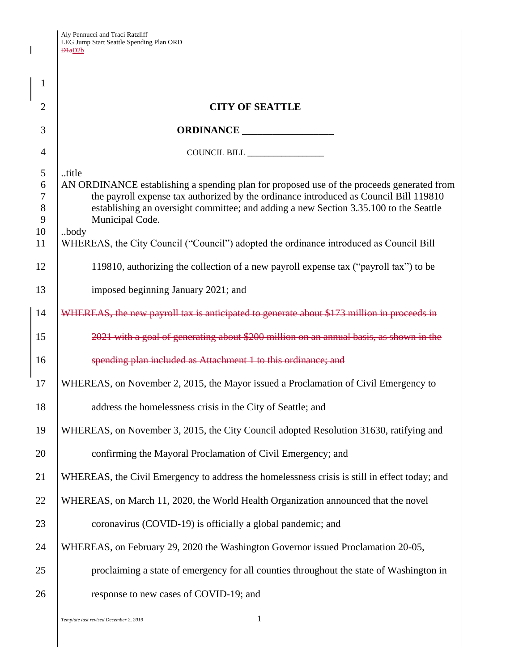$\mathbf I$ 

| 1                                              |                                                                                                                                                                                                                                                                                                                                                                                                           |  |
|------------------------------------------------|-----------------------------------------------------------------------------------------------------------------------------------------------------------------------------------------------------------------------------------------------------------------------------------------------------------------------------------------------------------------------------------------------------------|--|
| $\overline{2}$                                 | <b>CITY OF SEATTLE</b>                                                                                                                                                                                                                                                                                                                                                                                    |  |
| 3                                              | ORDINANCE                                                                                                                                                                                                                                                                                                                                                                                                 |  |
| 4                                              |                                                                                                                                                                                                                                                                                                                                                                                                           |  |
| 5<br>6<br>$\overline{7}$<br>8<br>9<br>10<br>11 | title<br>AN ORDINANCE establishing a spending plan for proposed use of the proceeds generated from<br>the payroll expense tax authorized by the ordinance introduced as Council Bill 119810<br>establishing an oversight committee; and adding a new Section 3.35.100 to the Seattle<br>Municipal Code.<br>body<br>WHEREAS, the City Council ("Council") adopted the ordinance introduced as Council Bill |  |
| 12                                             |                                                                                                                                                                                                                                                                                                                                                                                                           |  |
|                                                | 119810, authorizing the collection of a new payroll expense tax ("payroll tax") to be                                                                                                                                                                                                                                                                                                                     |  |
| 13                                             | imposed beginning January 2021; and                                                                                                                                                                                                                                                                                                                                                                       |  |
| 14                                             | WHEREAS, the new payroll tax is anticipated to generate about \$173 million in proceeds in                                                                                                                                                                                                                                                                                                                |  |
| 15                                             | 2021 with a goal of generating about \$200 million on an annual basis, as shown in the                                                                                                                                                                                                                                                                                                                    |  |
| 16                                             | spending plan included as Attachment 1 to this ordinance; and                                                                                                                                                                                                                                                                                                                                             |  |
| 17                                             | WHEREAS, on November 2, 2015, the Mayor issued a Proclamation of Civil Emergency to                                                                                                                                                                                                                                                                                                                       |  |
| 18                                             | address the homelessness crisis in the City of Seattle; and                                                                                                                                                                                                                                                                                                                                               |  |
| 19                                             | WHEREAS, on November 3, 2015, the City Council adopted Resolution 31630, ratifying and                                                                                                                                                                                                                                                                                                                    |  |
| 20                                             | confirming the Mayoral Proclamation of Civil Emergency; and                                                                                                                                                                                                                                                                                                                                               |  |
| 21                                             | WHEREAS, the Civil Emergency to address the homelessness crisis is still in effect today; and                                                                                                                                                                                                                                                                                                             |  |
| 22                                             | WHEREAS, on March 11, 2020, the World Health Organization announced that the novel                                                                                                                                                                                                                                                                                                                        |  |
| 23                                             | coronavirus (COVID-19) is officially a global pandemic; and                                                                                                                                                                                                                                                                                                                                               |  |
| 24                                             | WHEREAS, on February 29, 2020 the Washington Governor issued Proclamation 20-05,                                                                                                                                                                                                                                                                                                                          |  |
| 25                                             | proclaiming a state of emergency for all counties throughout the state of Washington in                                                                                                                                                                                                                                                                                                                   |  |
| 26                                             | response to new cases of COVID-19; and                                                                                                                                                                                                                                                                                                                                                                    |  |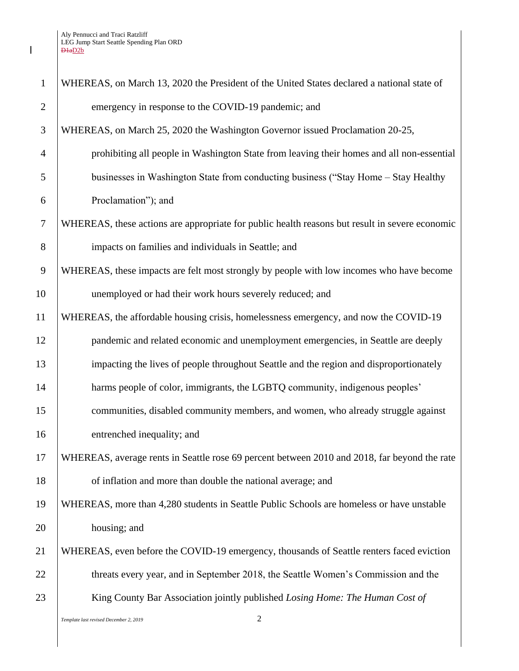| $\mathbf{1}$   | WHEREAS, on March 13, 2020 the President of the United States declared a national state of     |  |
|----------------|------------------------------------------------------------------------------------------------|--|
| $\overline{2}$ | emergency in response to the COVID-19 pandemic; and                                            |  |
| 3              | WHEREAS, on March 25, 2020 the Washington Governor issued Proclamation 20-25,                  |  |
| 4              | prohibiting all people in Washington State from leaving their homes and all non-essential      |  |
| 5              | businesses in Washington State from conducting business ("Stay Home – Stay Healthy             |  |
| 6              | Proclamation"); and                                                                            |  |
| $\tau$         | WHEREAS, these actions are appropriate for public health reasons but result in severe economic |  |
| 8              | impacts on families and individuals in Seattle; and                                            |  |
| 9              | WHEREAS, these impacts are felt most strongly by people with low incomes who have become       |  |
| 10             | unemployed or had their work hours severely reduced; and                                       |  |
| 11             | WHEREAS, the affordable housing crisis, homelessness emergency, and now the COVID-19           |  |
| 12             | pandemic and related economic and unemployment emergencies, in Seattle are deeply              |  |
| 13             | impacting the lives of people throughout Seattle and the region and disproportionately         |  |
| 14             | harms people of color, immigrants, the LGBTQ community, indigenous peoples'                    |  |
| 15             | communities, disabled community members, and women, who already struggle against               |  |
| 16             | entrenched inequality; and                                                                     |  |
| 17             | WHEREAS, average rents in Seattle rose 69 percent between 2010 and 2018, far beyond the rate   |  |
| 18             | of inflation and more than double the national average; and                                    |  |
| 19             | WHEREAS, more than 4,280 students in Seattle Public Schools are homeless or have unstable      |  |
| 20             | housing; and                                                                                   |  |
| 21             | WHEREAS, even before the COVID-19 emergency, thousands of Seattle renters faced eviction       |  |
| 22             | threats every year, and in September 2018, the Seattle Women's Commission and the              |  |
| 23             | King County Bar Association jointly published Losing Home: The Human Cost of                   |  |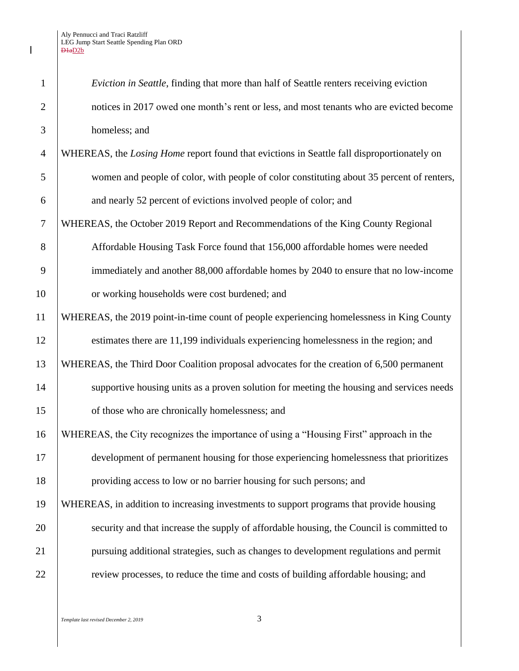$\mathsf I$ 

| $\mathbf{1}$   | Eviction in Seattle, finding that more than half of Seattle renters receiving eviction     |  |
|----------------|--------------------------------------------------------------------------------------------|--|
| $\overline{2}$ | notices in 2017 owed one month's rent or less, and most tenants who are evicted become     |  |
| 3              | homeless; and                                                                              |  |
| $\overline{4}$ | WHEREAS, the Losing Home report found that evictions in Seattle fall disproportionately on |  |
| 5              | women and people of color, with people of color constituting about 35 percent of renters,  |  |
| 6              | and nearly 52 percent of evictions involved people of color; and                           |  |
| $\overline{7}$ | WHEREAS, the October 2019 Report and Recommendations of the King County Regional           |  |
| 8              | Affordable Housing Task Force found that 156,000 affordable homes were needed              |  |
| 9              | immediately and another 88,000 affordable homes by 2040 to ensure that no low-income       |  |
| 10             | or working households were cost burdened; and                                              |  |
| 11             | WHEREAS, the 2019 point-in-time count of people experiencing homelessness in King County   |  |
| 12             | estimates there are 11,199 individuals experiencing homelessness in the region; and        |  |
| 13             | WHEREAS, the Third Door Coalition proposal advocates for the creation of 6,500 permanent   |  |
| 14             | supportive housing units as a proven solution for meeting the housing and services needs   |  |
| 15             | of those who are chronically homelessness; and                                             |  |
| 16             | WHEREAS, the City recognizes the importance of using a "Housing First" approach in the     |  |
| 17             | development of permanent housing for those experiencing homelessness that prioritizes      |  |
| 18             | providing access to low or no barrier housing for such persons; and                        |  |
| 19             | WHEREAS, in addition to increasing investments to support programs that provide housing    |  |
| 20             | security and that increase the supply of affordable housing, the Council is committed to   |  |
| 21             | pursuing additional strategies, such as changes to development regulations and permit      |  |
| 22             | review processes, to reduce the time and costs of building affordable housing; and         |  |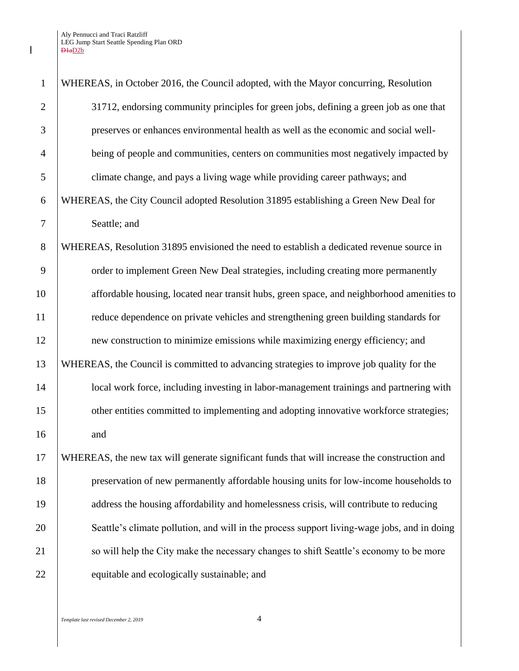$\mathsf I$ 

| $\mathbf{1}$   | WHEREAS, in October 2016, the Council adopted, with the Mayor concurring, Resolution         |  |
|----------------|----------------------------------------------------------------------------------------------|--|
| $\overline{2}$ | 31712, endorsing community principles for green jobs, defining a green job as one that       |  |
| 3              | preserves or enhances environmental health as well as the economic and social well-          |  |
| $\overline{4}$ | being of people and communities, centers on communities most negatively impacted by          |  |
| 5              | climate change, and pays a living wage while providing career pathways; and                  |  |
| 6              | WHEREAS, the City Council adopted Resolution 31895 establishing a Green New Deal for         |  |
| 7              | Seattle; and                                                                                 |  |
| 8              | WHEREAS, Resolution 31895 envisioned the need to establish a dedicated revenue source in     |  |
| 9              | order to implement Green New Deal strategies, including creating more permanently            |  |
| 10             | affordable housing, located near transit hubs, green space, and neighborhood amenities to    |  |
| 11             | reduce dependence on private vehicles and strengthening green building standards for         |  |
| 12             | new construction to minimize emissions while maximizing energy efficiency; and               |  |
| 13             | WHEREAS, the Council is committed to advancing strategies to improve job quality for the     |  |
| 14             | local work force, including investing in labor-management trainings and partnering with      |  |
| 15             | other entities committed to implementing and adopting innovative workforce strategies;       |  |
| 16             | and                                                                                          |  |
| 17             | WHEREAS, the new tax will generate significant funds that will increase the construction and |  |
| 18             | preservation of new permanently affordable housing units for low-income households to        |  |
| 19             | address the housing affordability and homelessness crisis, will contribute to reducing       |  |
| 20             | Seattle's climate pollution, and will in the process support living-wage jobs, and in doing  |  |
| 21             | so will help the City make the necessary changes to shift Seattle's economy to be more       |  |
| 22             | equitable and ecologically sustainable; and                                                  |  |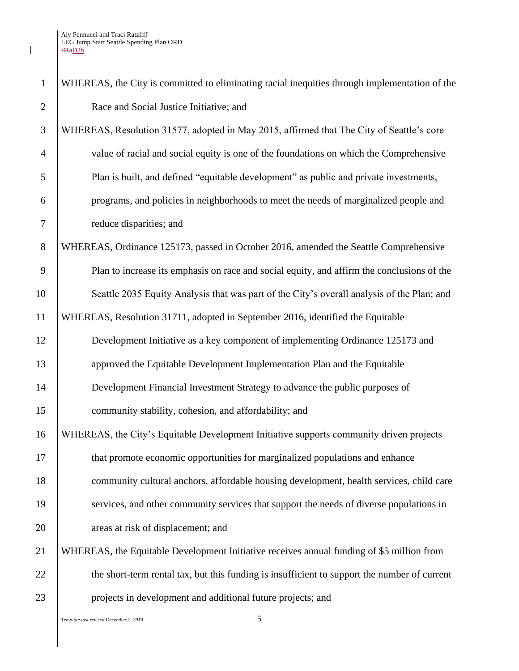| $\mathbf{1}$   | WHEREAS, the City is committed to eliminating racial inequities through implementation of the |  |
|----------------|-----------------------------------------------------------------------------------------------|--|
| $\overline{2}$ | Race and Social Justice Initiative; and                                                       |  |
| 3              | WHEREAS, Resolution 31577, adopted in May 2015, affirmed that The City of Seattle's core      |  |
| $\overline{4}$ | value of racial and social equity is one of the foundations on which the Comprehensive        |  |
| 5              | Plan is built, and defined "equitable development" as public and private investments,         |  |
| 6              | programs, and policies in neighborhoods to meet the needs of marginalized people and          |  |
| $\tau$         | reduce disparities; and                                                                       |  |
| 8              | WHEREAS, Ordinance 125173, passed in October 2016, amended the Seattle Comprehensive          |  |
| 9              | Plan to increase its emphasis on race and social equity, and affirm the conclusions of the    |  |
| 10             | Seattle 2035 Equity Analysis that was part of the City's overall analysis of the Plan; and    |  |
| 11             | WHEREAS, Resolution 31711, adopted in September 2016, identified the Equitable                |  |
| 12             | Development Initiative as a key component of implementing Ordinance 125173 and                |  |
| 13             | approved the Equitable Development Implementation Plan and the Equitable                      |  |
| 14             | Development Financial Investment Strategy to advance the public purposes of                   |  |
| 15             | community stability, cohesion, and affordability; and                                         |  |
| 16             | WHEREAS, the City's Equitable Development Initiative supports community driven projects       |  |
| 17             | that promote economic opportunities for marginalized populations and enhance                  |  |
| 18             | community cultural anchors, affordable housing development, health services, child care       |  |
| 19             | services, and other community services that support the needs of diverse populations in       |  |
| 20             | areas at risk of displacement; and                                                            |  |
| 21             | WHEREAS, the Equitable Development Initiative receives annual funding of \$5 million from     |  |
| 22             | the short-term rental tax, but this funding is insufficient to support the number of current  |  |
| 23             | projects in development and additional future projects; and                                   |  |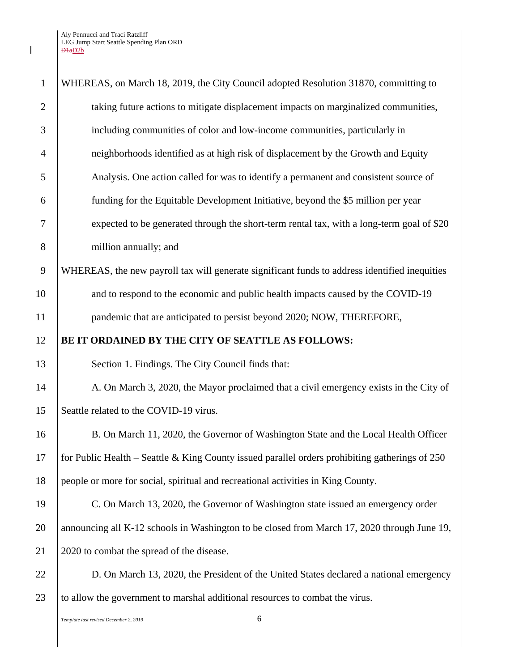| $\mathbf{1}$   | WHEREAS, on March 18, 2019, the City Council adopted Resolution 31870, committing to             |  |
|----------------|--------------------------------------------------------------------------------------------------|--|
| $\overline{2}$ | taking future actions to mitigate displacement impacts on marginalized communities,              |  |
| 3              | including communities of color and low-income communities, particularly in                       |  |
| $\overline{4}$ | neighborhoods identified as at high risk of displacement by the Growth and Equity                |  |
| 5              | Analysis. One action called for was to identify a permanent and consistent source of             |  |
| 6              | funding for the Equitable Development Initiative, beyond the \$5 million per year                |  |
| 7              | expected to be generated through the short-term rental tax, with a long-term goal of \$20        |  |
| 8              | million annually; and                                                                            |  |
| 9              | WHEREAS, the new payroll tax will generate significant funds to address identified inequities    |  |
| 10             | and to respond to the economic and public health impacts caused by the COVID-19                  |  |
| 11             | pandemic that are anticipated to persist beyond 2020; NOW, THEREFORE,                            |  |
| 12             | BE IT ORDAINED BY THE CITY OF SEATTLE AS FOLLOWS:                                                |  |
| 13             | Section 1. Findings. The City Council finds that:                                                |  |
| 14             | A. On March 3, 2020, the Mayor proclaimed that a civil emergency exists in the City of           |  |
| 15             | Seattle related to the COVID-19 virus.                                                           |  |
| 16             | B. On March 11, 2020, the Governor of Washington State and the Local Health Officer              |  |
| 17             | for Public Health – Seattle & King County issued parallel orders prohibiting gatherings of $250$ |  |
| 18             | people or more for social, spiritual and recreational activities in King County.                 |  |
| 19             | C. On March 13, 2020, the Governor of Washington state issued an emergency order                 |  |
| 20             | announcing all K-12 schools in Washington to be closed from March 17, 2020 through June 19,      |  |
| 21             | 2020 to combat the spread of the disease.                                                        |  |
| 22             | D. On March 13, 2020, the President of the United States declared a national emergency           |  |
| 23             | to allow the government to marshal additional resources to combat the virus.                     |  |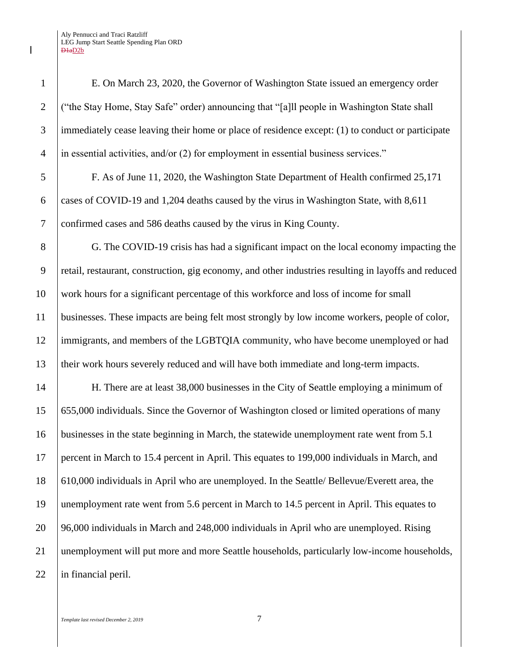E. On March 23, 2020, the Governor of Washington State issued an emergency order ("the Stay Home, Stay Safe" order) announcing that "[a]ll people in Washington State shall immediately cease leaving their home or place of residence except: (1) to conduct or participate in essential activities, and/or (2) for employment in essential business services."

 F. As of June 11, 2020, the Washington State Department of Health confirmed 25,171 cases of COVID-19 and 1,204 deaths caused by the virus in Washington State, with 8,611 confirmed cases and 586 deaths caused by the virus in King County.

8 G. The COVID-19 crisis has had a significant impact on the local economy impacting the retail, restaurant, construction, gig economy, and other industries resulting in layoffs and reduced work hours for a significant percentage of this workforce and loss of income for small businesses. These impacts are being felt most strongly by low income workers, people of color, immigrants, and members of the LGBTQIA community, who have become unemployed or had their work hours severely reduced and will have both immediate and long-term impacts.

 H. There are at least 38,000 businesses in the City of Seattle employing a minimum of 655,000 individuals. Since the Governor of Washington closed or limited operations of many businesses in the state beginning in March, the statewide unemployment rate went from 5.1 percent in March to 15.4 percent in April. This equates to 199,000 individuals in March, and 610,000 individuals in April who are unemployed. In the Seattle/ Bellevue/Everett area, the 19 | unemployment rate went from 5.6 percent in March to 14.5 percent in April. This equates to 96,000 individuals in March and 248,000 individuals in April who are unemployed. Rising unemployment will put more and more Seattle households, particularly low-income households, 22 | in financial peril.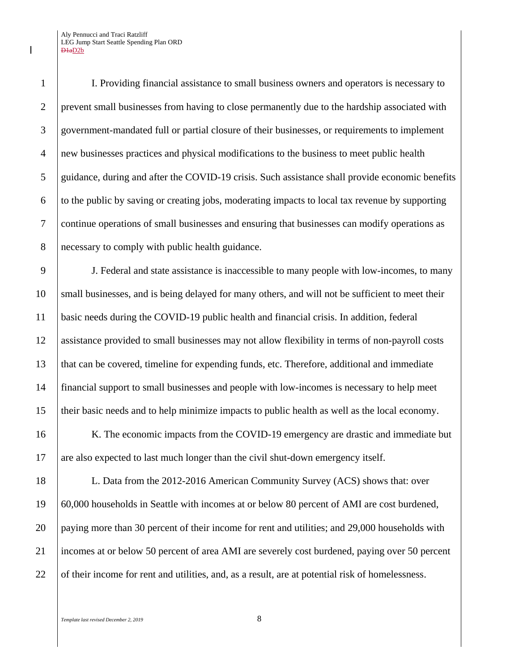I. Providing financial assistance to small business owners and operators is necessary to prevent small businesses from having to close permanently due to the hardship associated with government-mandated full or partial closure of their businesses, or requirements to implement new businesses practices and physical modifications to the business to meet public health guidance, during and after the COVID-19 crisis. Such assistance shall provide economic benefits  $\overline{6}$  to the public by saving or creating jobs, moderating impacts to local tax revenue by supporting continue operations of small businesses and ensuring that businesses can modify operations as necessary to comply with public health guidance.

 J. Federal and state assistance is inaccessible to many people with low-incomes, to many 10 small businesses, and is being delayed for many others, and will not be sufficient to meet their basic needs during the COVID-19 public health and financial crisis. In addition, federal assistance provided to small businesses may not allow flexibility in terms of non-payroll costs that can be covered, timeline for expending funds, etc. Therefore, additional and immediate financial support to small businesses and people with low-incomes is necessary to help meet their basic needs and to help minimize impacts to public health as well as the local economy.

16 K. The economic impacts from the COVID-19 emergency are drastic and immediate but are also expected to last much longer than the civil shut-down emergency itself.

 L. Data from the 2012-2016 American Community Survey (ACS) shows that: over 60,000 households in Seattle with incomes at or below 80 percent of AMI are cost burdened, paying more than 30 percent of their income for rent and utilities; and 29,000 households with incomes at or below 50 percent of area AMI are severely cost burdened, paying over 50 percent 22 of their income for rent and utilities, and, as a result, are at potential risk of homelessness.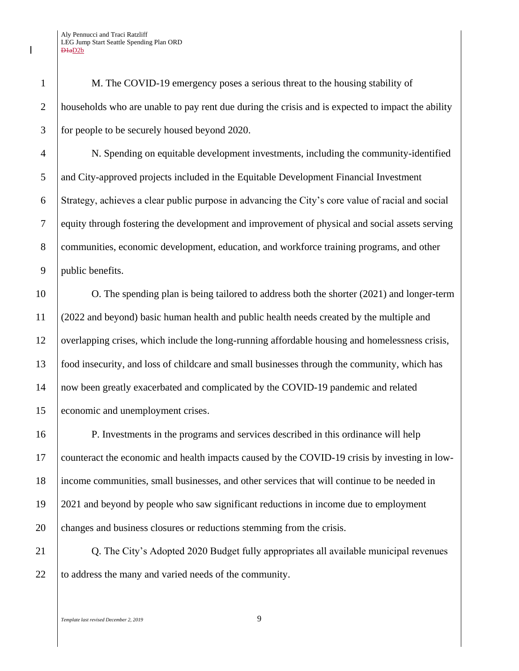M. The COVID-19 emergency poses a serious threat to the housing stability of households who are unable to pay rent due during the crisis and is expected to impact the ability for people to be securely housed beyond 2020.

 N. Spending on equitable development investments, including the community-identified 5 and City-approved projects included in the Equitable Development Financial Investment Strategy, achieves a clear public purpose in advancing the City's core value of racial and social equity through fostering the development and improvement of physical and social assets serving 8 communities, economic development, education, and workforce training programs, and other public benefits.

 O. The spending plan is being tailored to address both the shorter (2021) and longer-term (2022 and beyond) basic human health and public health needs created by the multiple and 12 overlapping crises, which include the long-running affordable housing and homelessness crisis, food insecurity, and loss of childcare and small businesses through the community, which has now been greatly exacerbated and complicated by the COVID-19 pandemic and related economic and unemployment crises.

 P. Investments in the programs and services described in this ordinance will help counteract the economic and health impacts caused by the COVID-19 crisis by investing in low- income communities, small businesses, and other services that will continue to be needed in 2021 and beyond by people who saw significant reductions in income due to employment 20 changes and business closures or reductions stemming from the crisis.

**Q.** The City's Adopted 2020 Budget fully appropriates all available municipal revenues 22 to address the many and varied needs of the community.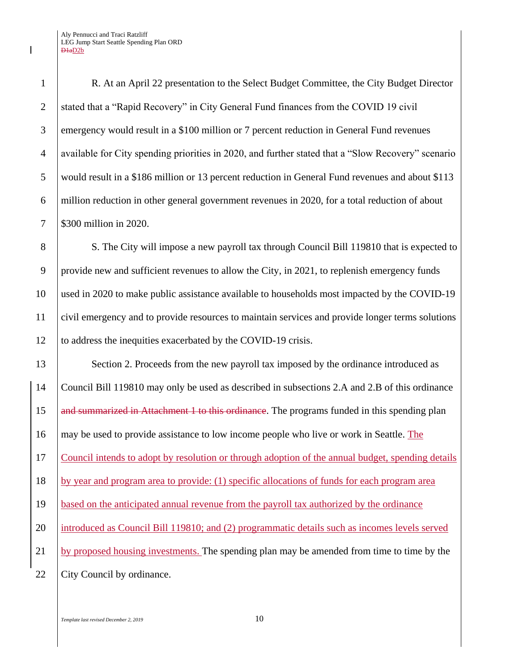R. At an April 22 presentation to the Select Budget Committee, the City Budget Director 2 Stated that a "Rapid Recovery" in City General Fund finances from the COVID 19 civil emergency would result in a \$100 million or 7 percent reduction in General Fund revenues available for City spending priorities in 2020, and further stated that a "Slow Recovery" scenario would result in a \$186 million or 13 percent reduction in General Fund revenues and about \$113 million reduction in other general government revenues in 2020, for a total reduction of about \$300 million in 2020.

8 S. The City will impose a new payroll tax through Council Bill 119810 that is expected to 9 provide new and sufficient revenues to allow the City, in 2021, to replenish emergency funds 10 used in 2020 to make public assistance available to households most impacted by the COVID-19 11 civil emergency and to provide resources to maintain services and provide longer terms solutions 12 to address the inequities exacerbated by the COVID-19 crisis.

13 Section 2. Proceeds from the new payroll tax imposed by the ordinance introduced as 14 Council Bill 119810 may only be used as described in subsections 2.A and 2.B of this ordinance 15 and summarized in Attachment 1 to this ordinance. The programs funded in this spending plan 16 may be used to provide assistance to low income people who live or work in Seattle. The 17 Council intends to adopt by resolution or through adoption of the annual budget, spending details 18 by year and program area to provide: (1) specific allocations of funds for each program area 19 based on the anticipated annual revenue from the payroll tax authorized by the ordinance 20 introduced as Council Bill 119810; and (2) programmatic details such as incomes levels served 21 by proposed housing investments. The spending plan may be amended from time to time by the 22 City Council by ordinance.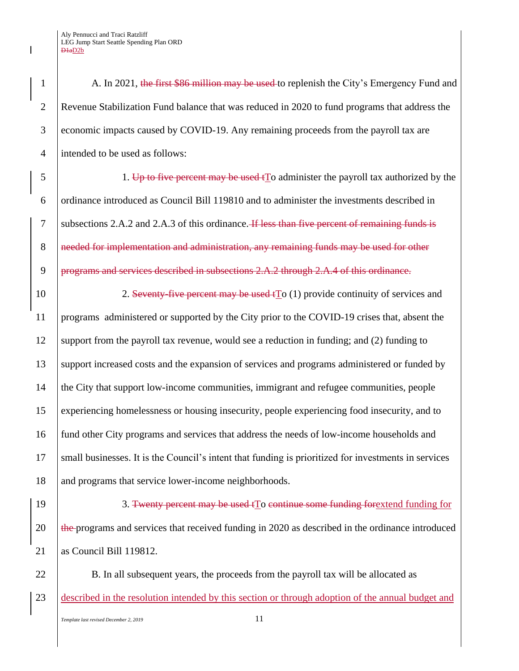1 A. In 2021, the first \$86 million may be used to replenish the City's Emergency Fund and Revenue Stabilization Fund balance that was reduced in 2020 to fund programs that address the economic impacts caused by COVID-19. Any remaining proceeds from the payroll tax are intended to be used as follows:

 $\frac{1}{5}$  1. Up to five percent may be used to administer the payroll tax authorized by the 6 | ordinance introduced as Council Bill 119810 and to administer the investments described in 7 Subsections 2.A.2 and 2.A.3 of this ordinance. If less than five percent of remaining funds is 8 examplementation and administration, any remaining funds may be used for other 9 programs and services described in subsections 2.A.2 through 2.A.4 of this ordinance.

10 2. Seventy-five percent may be used to (1) provide continuity of services and 11 programs administered or supported by the City prior to the COVID-19 crises that, absent the 12 support from the payroll tax revenue, would see a reduction in funding; and  $(2)$  funding to 13 support increased costs and the expansion of services and programs administered or funded by 14 the City that support low-income communities, immigrant and refugee communities, people 15 experiencing homelessness or housing insecurity, people experiencing food insecurity, and to 16 fund other City programs and services that address the needs of low-income households and 17 Small businesses. It is the Council's intent that funding is prioritized for investments in services 18 and programs that service lower-income neighborhoods.

19 3. Twenty percent may be used to continue some funding forextend funding for 20 the programs and services that received funding in 2020 as described in the ordinance introduced 21 as Council Bill 119812.

22 B. In all subsequent years, the proceeds from the payroll tax will be allocated as 23 described in the resolution intended by this section or through adoption of the annual budget and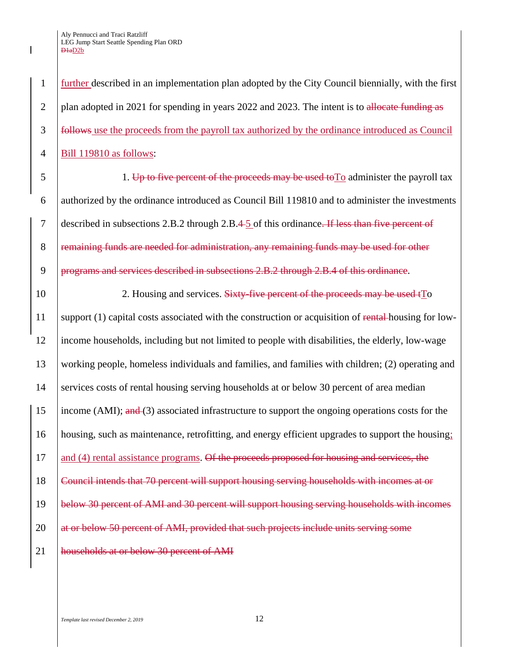**further described in an implementation plan adopted by the City Council biennially, with the first** 2 plan adopted in 2021 for spending in years 2022 and 2023. The intent is to allocate funding as follows use the proceeds from the payroll tax authorized by the ordinance introduced as Council Bill 119810 as follows:

 $5 \mid$  1. Up to five percent of the proceeds may be used to  $\Gamma$ <sup>o</sup> administer the payroll tax 6 authorized by the ordinance introduced as Council Bill 119810 and to administer the investments 7 described in subsections 2.B.2 through 2.B.4 5 of this ordinance. If less than five percent of 8 Femaining funds are needed for administration, any remaining funds may be used for other 9 programs and services described in subsections 2.B.2 through 2.B.4 of this ordinance.

10 10 2. Housing and services. Sixty-five percent of the proceeds may be used to 11 | support (1) capital costs associated with the construction or acquisition of rental housing for low-12 income households, including but not limited to people with disabilities, the elderly, low-wage 13 working people, homeless individuals and families, and families with children; (2) operating and 14 Services costs of rental housing serving households at or below 30 percent of area median 15 income (AMI); and (3) associated infrastructure to support the ongoing operations costs for the 16 housing, such as maintenance, retrofitting, and energy efficient upgrades to support the housing;  $17$  and (4) rental assistance programs. Of the proceeds proposed for housing and services, the 18 Council intends that 70 percent will support housing serving households with incomes at or 19 below 30 percent of AMI and 30 percent will support housing serving households with incomes 20 at or below 50 percent of AMI, provided that such projects include units serving some 21 | households at or below 30 percent of AMI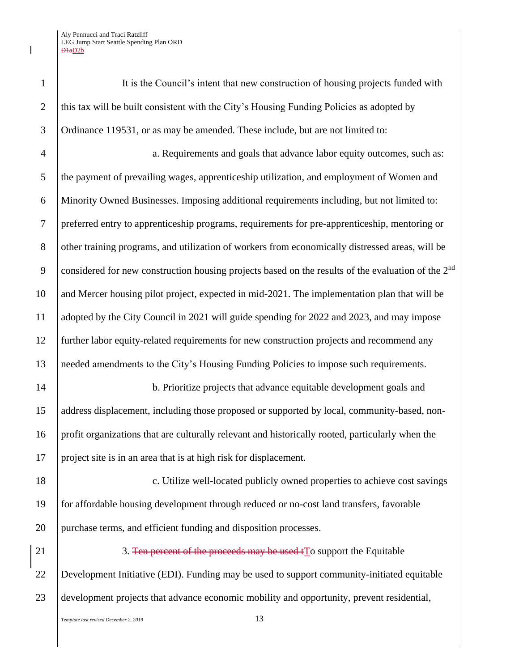| $\mathbf{1}$     | It is the Council's intent that new construction of housing projects funded with                               |  |  |  |
|------------------|----------------------------------------------------------------------------------------------------------------|--|--|--|
| $\overline{2}$   | this tax will be built consistent with the City's Housing Funding Policies as adopted by                       |  |  |  |
| 3                | Ordinance 119531, or as may be amended. These include, but are not limited to:                                 |  |  |  |
| $\overline{4}$   | a. Requirements and goals that advance labor equity outcomes, such as:                                         |  |  |  |
| 5                | the payment of prevailing wages, apprenticeship utilization, and employment of Women and                       |  |  |  |
| 6                | Minority Owned Businesses. Imposing additional requirements including, but not limited to:                     |  |  |  |
| $\boldsymbol{7}$ | preferred entry to apprenticeship programs, requirements for pre-apprenticeship, mentoring or                  |  |  |  |
| $8\,$            | other training programs, and utilization of workers from economically distressed areas, will be                |  |  |  |
| 9                | considered for new construction housing projects based on the results of the evaluation of the 2 <sup>nd</sup> |  |  |  |
| 10               | and Mercer housing pilot project, expected in mid-2021. The implementation plan that will be                   |  |  |  |
| 11               | adopted by the City Council in 2021 will guide spending for 2022 and 2023, and may impose                      |  |  |  |
| 12               | further labor equity-related requirements for new construction projects and recommend any                      |  |  |  |
| 13               | needed amendments to the City's Housing Funding Policies to impose such requirements.                          |  |  |  |
| 14               | b. Prioritize projects that advance equitable development goals and                                            |  |  |  |
| 15               | address displacement, including those proposed or supported by local, community-based, non-                    |  |  |  |
| 16               | profit organizations that are culturally relevant and historically rooted, particularly when the               |  |  |  |
| 17               | project site is in an area that is at high risk for displacement.                                              |  |  |  |
| 18               | c. Utilize well-located publicly owned properties to achieve cost savings                                      |  |  |  |
| 19               | for affordable housing development through reduced or no-cost land transfers, favorable                        |  |  |  |
| 20               | purchase terms, and efficient funding and disposition processes.                                               |  |  |  |
| 21               | 3. Ten percent of the proceeds may be used to support the Equitable                                            |  |  |  |
| 22               | Development Initiative (EDI). Funding may be used to support community-initiated equitable                     |  |  |  |
| 23               | development projects that advance economic mobility and opportunity, prevent residential,                      |  |  |  |
|                  | 13<br>Template last revised December 2, 2019                                                                   |  |  |  |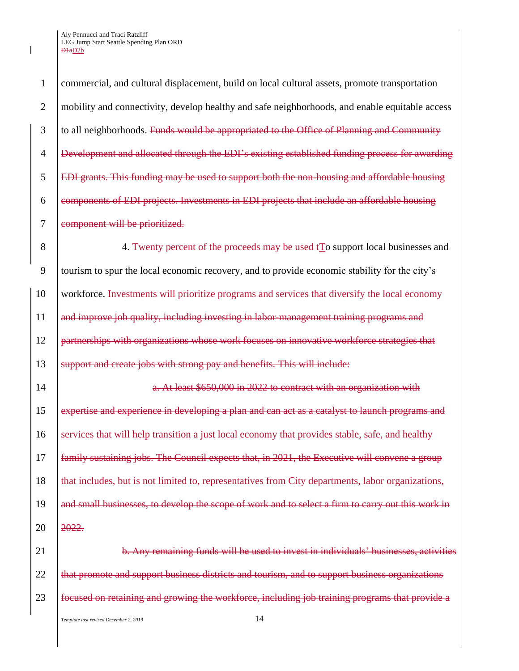1 commercial, and cultural displacement, build on local cultural assets, promote transportation 2 mobility and connectivity, develop healthy and safe neighborhoods, and enable equitable access 3 to all neighborhoods. Funds would be appropriated to the Office of Planning and Community 4 Development and allocated through the EDI's existing established funding process for awarding 5 EDI grants. This funding may be used to support both the non-housing and affordable housing 6 components of EDI projects. Investments in EDI projects that include an affordable housing 7 eomponent will be prioritized. 8 4. Twenty percent of the proceeds may be used to support local businesses and 9 tourism to spur the local economic recovery, and to provide economic stability for the city's 10 workforce. Investments will prioritize programs and services that diversify the local economy

12 **partnerships with organizations whose work focuses on innovative workforce strategies that** 13 Support and create jobs with strong pay and benefits. This will include:

11 and improve job quality, including investing in labor-management training programs and

14 **a.** At least \$650,000 in 2022 to contract with an organization with 15 expertise and experience in developing a plan and can act as a catalyst to launch programs and 16 Services that will help transition a just local economy that provides stable, safe, and healthy 17 family sustaining jobs. The Council expects that, in 2021, the Executive will convene a group 18 **that includes, but is not limited to, representatives from City departments, labor organizations,** 19 and small businesses, to develop the scope of work and to select a firm to carry out this work in 20 2022.

21 **b.** Any remaining funds will be used to invest in individuals' businesses, activities 22 that promote and support business districts and tourism, and to support business organizations 23 focused on retaining and growing the workforce, including job training programs that provide a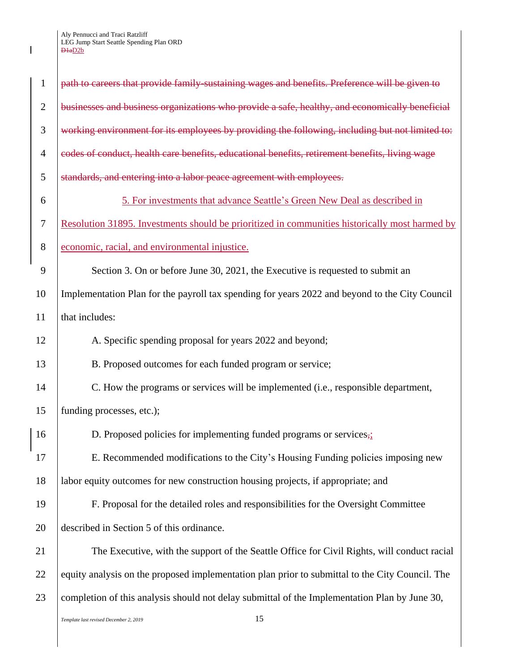$\mathbf I$ 

| $\mathbf{1}$   | path to careers that provide family sustaining wages and benefits. Preference will be given to  |  |
|----------------|-------------------------------------------------------------------------------------------------|--|
| $\overline{2}$ | businesses and business organizations who provide a safe, healthy, and economically beneficial  |  |
| 3              | working environment for its employees by providing the following, including but not limited to: |  |
| $\overline{4}$ | codes of conduct, health care benefits, educational benefits, retirement benefits, living wage  |  |
| 5              | standards, and entering into a labor peace agreement with employees.                            |  |
| 6              | 5. For investments that advance Seattle's Green New Deal as described in                        |  |
| $\tau$         | Resolution 31895. Investments should be prioritized in communities historically most harmed by  |  |
| 8              | economic, racial, and environmental injustice.                                                  |  |
| 9              | Section 3. On or before June 30, 2021, the Executive is requested to submit an                  |  |
| 10             | Implementation Plan for the payroll tax spending for years 2022 and beyond to the City Council  |  |
| 11             | that includes:                                                                                  |  |
| 12             | A. Specific spending proposal for years 2022 and beyond;                                        |  |
| 13             | B. Proposed outcomes for each funded program or service;                                        |  |
| 14             | C. How the programs or services will be implemented (i.e., responsible department,              |  |
| 15             | funding processes, etc.);                                                                       |  |
| 16             | D. Proposed policies for implementing funded programs or services $\frac{1}{2}$                 |  |
| 17             | E. Recommended modifications to the City's Housing Funding policies imposing new                |  |
| 18             | labor equity outcomes for new construction housing projects, if appropriate; and                |  |
| 19             | F. Proposal for the detailed roles and responsibilities for the Oversight Committee             |  |
| 20             | described in Section 5 of this ordinance.                                                       |  |
| 21             | The Executive, with the support of the Seattle Office for Civil Rights, will conduct racial     |  |
| 22             | equity analysis on the proposed implementation plan prior to submittal to the City Council. The |  |
| 23             | completion of this analysis should not delay submittal of the Implementation Plan by June 30,   |  |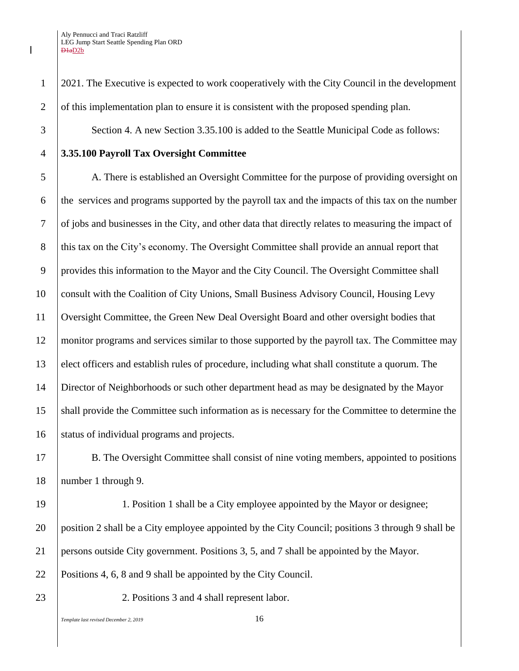18 number 1 through 9.

23 2. Positions 3 and 4 shall represent labor.

*Template last revised December 2, 2019* 16

1 2021. The Executive is expected to work cooperatively with the City Council in the development 2 of this implementation plan to ensure it is consistent with the proposed spending plan.

3 Section 4. A new Section 3.35.100 is added to the Seattle Municipal Code as follows:

## 4 **3.35.100 Payroll Tax Oversight Committee**

 A. There is established an Oversight Committee for the purpose of providing oversight on  $\overline{6}$  the services and programs supported by the payroll tax and the impacts of this tax on the number of jobs and businesses in the City, and other data that directly relates to measuring the impact of 8 this tax on the City's economy. The Oversight Committee shall provide an annual report that provides this information to the Mayor and the City Council. The Oversight Committee shall consult with the Coalition of City Unions, Small Business Advisory Council, Housing Levy Oversight Committee, the Green New Deal Oversight Board and other oversight bodies that monitor programs and services similar to those supported by the payroll tax. The Committee may elect officers and establish rules of procedure, including what shall constitute a quorum. The Director of Neighborhoods or such other department head as may be designated by the Mayor shall provide the Committee such information as is necessary for the Committee to determine the 16 Status of individual programs and projects.

17 B. The Oversight Committee shall consist of nine voting members, appointed to positions

19 1. Position 1 shall be a City employee appointed by the Mayor or designee; position 2 shall be a City employee appointed by the City Council; positions 3 through 9 shall be persons outside City government. Positions 3, 5, and 7 shall be appointed by the Mayor. Positions 4, 6, 8 and 9 shall be appointed by the City Council.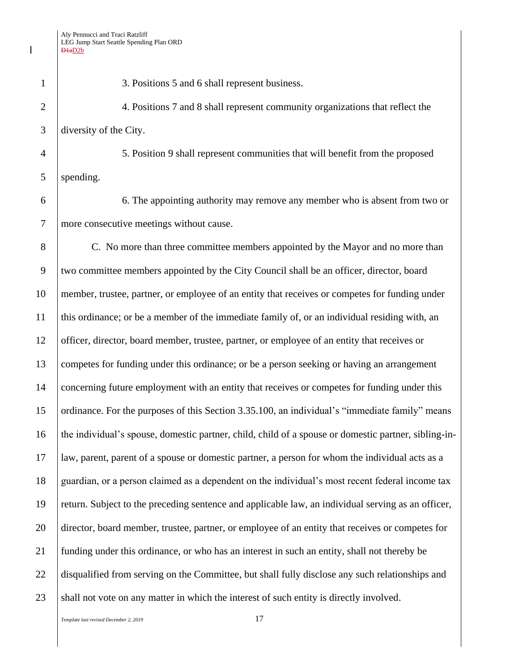| $\mathbf{1}$   | 3. Positions 5 and 6 shall represent business.                                                       |  |  |
|----------------|------------------------------------------------------------------------------------------------------|--|--|
| $\overline{2}$ | 4. Positions 7 and 8 shall represent community organizations that reflect the                        |  |  |
| 3              | diversity of the City.                                                                               |  |  |
| $\overline{4}$ | 5. Position 9 shall represent communities that will benefit from the proposed                        |  |  |
| 5              | spending.                                                                                            |  |  |
| 6              | 6. The appointing authority may remove any member who is absent from two or                          |  |  |
| $\overline{7}$ | more consecutive meetings without cause.                                                             |  |  |
| 8              | C. No more than three committee members appointed by the Mayor and no more than                      |  |  |
| 9              | two committee members appointed by the City Council shall be an officer, director, board             |  |  |
| 10             | member, trustee, partner, or employee of an entity that receives or competes for funding under       |  |  |
| 11             | this ordinance; or be a member of the immediate family of, or an individual residing with, an        |  |  |
| 12             | officer, director, board member, trustee, partner, or employee of an entity that receives or         |  |  |
| 13             | competes for funding under this ordinance; or be a person seeking or having an arrangement           |  |  |
| 14             | concerning future employment with an entity that receives or competes for funding under this         |  |  |
| 15             | ordinance. For the purposes of this Section 3.35.100, an individual's "immediate family" means       |  |  |
| 16             | the individual's spouse, domestic partner, child, child of a spouse or domestic partner, sibling-in- |  |  |
| 17             | law, parent, parent of a spouse or domestic partner, a person for whom the individual acts as a      |  |  |
| 18             | guardian, or a person claimed as a dependent on the individual's most recent federal income tax      |  |  |
| 19             | return. Subject to the preceding sentence and applicable law, an individual serving as an officer,   |  |  |
| 20             | director, board member, trustee, partner, or employee of an entity that receives or competes for     |  |  |
| 21             | funding under this ordinance, or who has an interest in such an entity, shall not thereby be         |  |  |
| 22             | disqualified from serving on the Committee, but shall fully disclose any such relationships and      |  |  |
| 23             | shall not vote on any matter in which the interest of such entity is directly involved.              |  |  |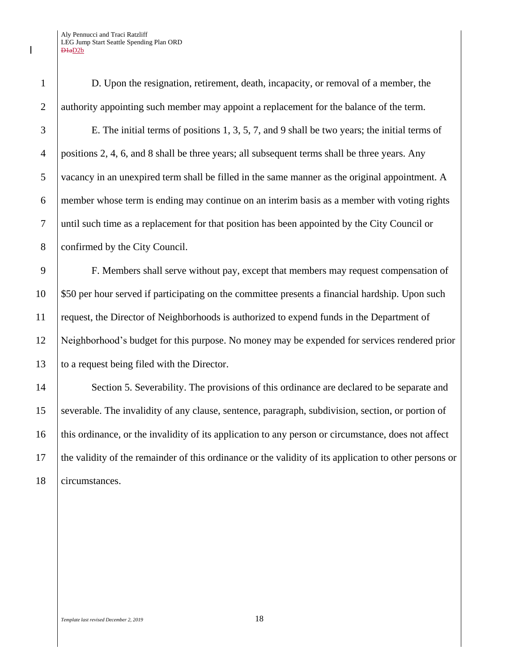D. Upon the resignation, retirement, death, incapacity, or removal of a member, the 2 authority appointing such member may appoint a replacement for the balance of the term. E. The initial terms of positions 1, 3, 5, 7, and 9 shall be two years; the initial terms of positions 2, 4, 6, and 8 shall be three years; all subsequent terms shall be three years. Any vacancy in an unexpired term shall be filled in the same manner as the original appointment. A member whose term is ending may continue on an interim basis as a member with voting rights until such time as a replacement for that position has been appointed by the City Council or 8 confirmed by the City Council.

 F. Members shall serve without pay, except that members may request compensation of  $10\quad$  \$50 per hour served if participating on the committee presents a financial hardship. Upon such request, the Director of Neighborhoods is authorized to expend funds in the Department of Neighborhood's budget for this purpose. No money may be expended for services rendered prior to a request being filed with the Director.

14 Section 5. Severability. The provisions of this ordinance are declared to be separate and severable. The invalidity of any clause, sentence, paragraph, subdivision, section, or portion of this ordinance, or the invalidity of its application to any person or circumstance, does not affect the validity of the remainder of this ordinance or the validity of its application to other persons or circumstances.